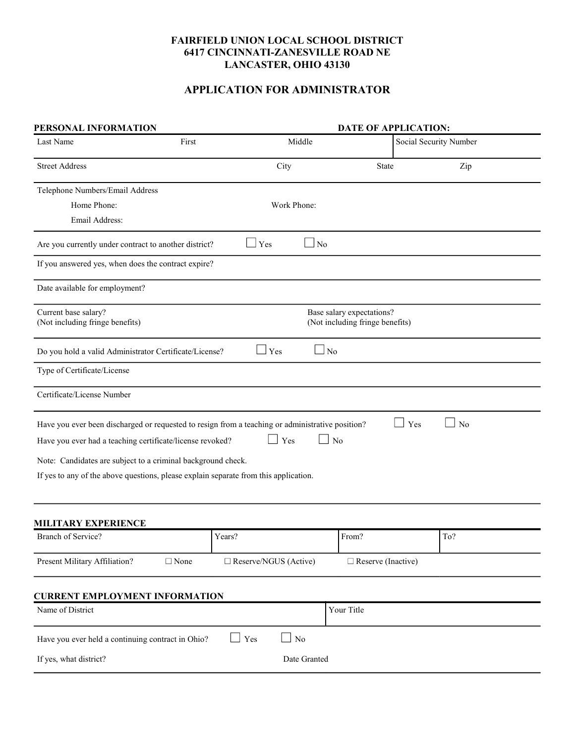# FAIRFIELD UNION LOCAL SCHOOL DISTRICT 6417 CINCINNATI-ZANESVILLE ROAD NE LANCASTER, OHIO 43130

# APPLICATION FOR ADMINISTRATOR

| PERSONAL INFORMATION                                                                             |                | <b>DATE OF APPLICATION:</b>  |                                 |                        |  |
|--------------------------------------------------------------------------------------------------|----------------|------------------------------|---------------------------------|------------------------|--|
| Last Name                                                                                        | First          | Middle                       |                                 | Social Security Number |  |
| <b>Street Address</b>                                                                            |                | City                         | State                           | Zip                    |  |
| Telephone Numbers/Email Address                                                                  |                |                              |                                 |                        |  |
| Home Phone:                                                                                      |                | Work Phone:                  |                                 |                        |  |
| Email Address:                                                                                   |                |                              |                                 |                        |  |
| Are you currently under contract to another district?                                            |                | Yes<br>$\vert$ No            |                                 |                        |  |
| If you answered yes, when does the contract expire?                                              |                |                              |                                 |                        |  |
| Date available for employment?                                                                   |                |                              |                                 |                        |  |
| Current base salary?                                                                             |                |                              | Base salary expectations?       |                        |  |
| (Not including fringe benefits)                                                                  |                |                              | (Not including fringe benefits) |                        |  |
| Do you hold a valid Administrator Certificate/License?                                           |                | Yes                          | ⊿ No                            |                        |  |
| Type of Certificate/License                                                                      |                |                              |                                 |                        |  |
| Certificate/License Number                                                                       |                |                              |                                 |                        |  |
| Have you ever been discharged or requested to resign from a teaching or administrative position? |                |                              |                                 | Yes<br>No              |  |
| Have you ever had a teaching certificate/license revoked?                                        |                | Yes                          | No                              |                        |  |
| Note: Candidates are subject to a criminal background check.                                     |                |                              |                                 |                        |  |
| If yes to any of the above questions, please explain separate from this application.             |                |                              |                                 |                        |  |
|                                                                                                  |                |                              |                                 |                        |  |
| <b>MILITARY EXPERIENCE</b>                                                                       |                |                              |                                 |                        |  |
| Branch of Service?                                                                               |                | Years?                       | From?                           | To?                    |  |
| Present Military Affiliation?                                                                    | $\square$ None | $\Box$ Reserve/NGUS (Active) | $\Box$ Reserve (Inactive)       |                        |  |
|                                                                                                  |                |                              |                                 |                        |  |
| <b>CURRENT EMPLOYMENT INFORMATION</b><br>Name of District                                        |                |                              | Your Title                      |                        |  |
|                                                                                                  |                |                              |                                 |                        |  |
| Have you ever held a continuing contract in Ohio?                                                |                | $\Box$ No<br>Yes             |                                 |                        |  |
| If yes, what district?                                                                           |                | Date Granted                 |                                 |                        |  |
|                                                                                                  |                |                              |                                 |                        |  |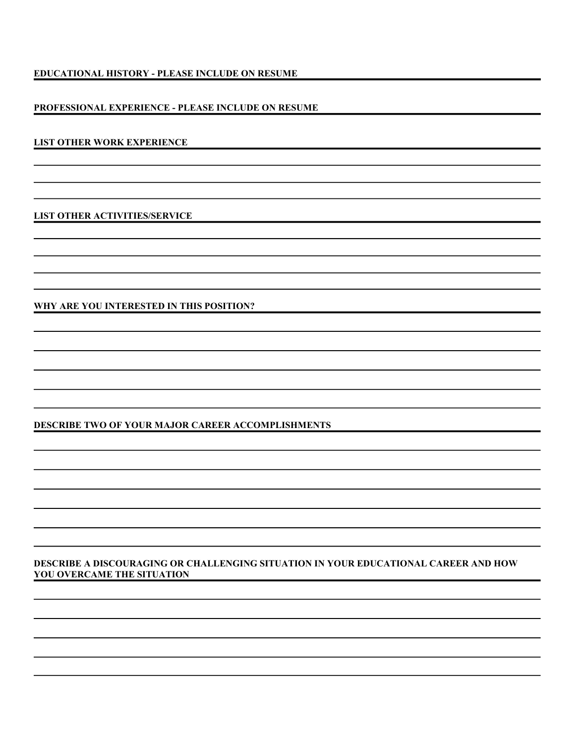## EDUCATIONAL HISTORY - PLEASE INCLUDE ON RESUME

## PROFESSIONAL EXPERIENCE - PLEASE INCLUDE ON RESUME

#### LIST OTHER WORK EXPERIENCE

LIST OTHER ACTIVITIES/SERVICE

WHY ARE YOU INTERESTED IN THIS POSITION?

## DESCRIBE TWO OF YOUR MAJOR CAREER ACCOMPLISHMENTS

## DESCRIBE A DISCOURAGING OR CHALLENGING SITUATION IN YOUR EDUCATIONAL CAREER AND HOW YOU OVERCAME THE SITUATION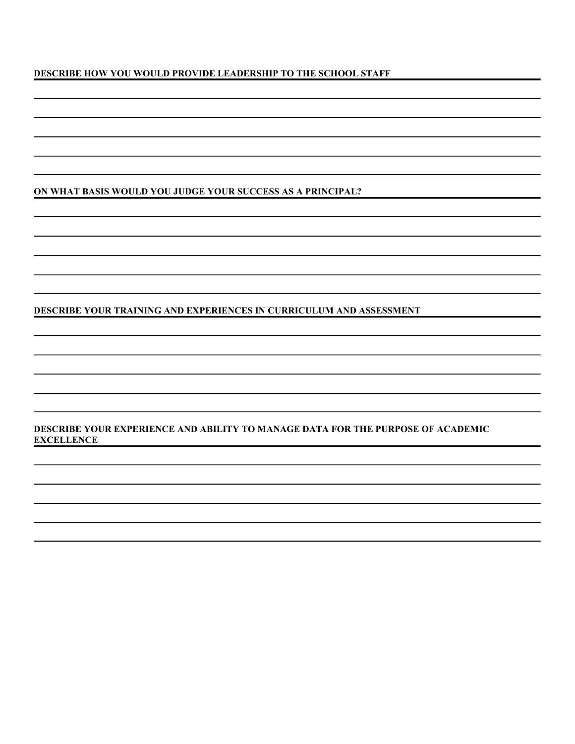# DESCRIBE HOW YOU WOULD PROVIDE LEADERSHIP TO THE SCHOOL STAFF

## ON WHAT BASIS WOULD YOU JUDGE YOUR SUCCESS AS A PRINCIPAL?

DESCRIBE YOUR TRAINING AND EXPERIENCES IN CURRICULUM AND ASSESSMENT

DESCRIBE YOUR EXPERIENCE AND ABILITY TO MANAGE DATA FOR THE PURPOSE OF ACADEMIC **EXCELLENCE**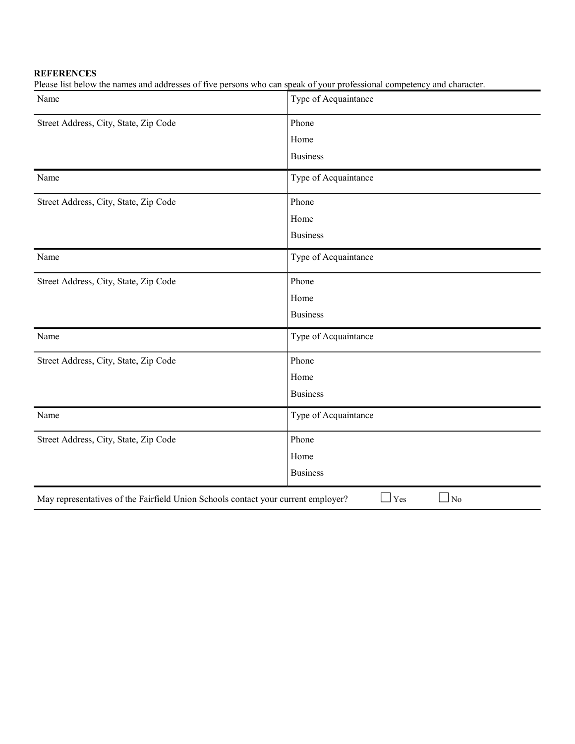# **REFERENCES**

Please list below the names and addresses of five persons who can speak of your professional competency and character.

| Name                                                                              | Type of Acquaintance |
|-----------------------------------------------------------------------------------|----------------------|
| Street Address, City, State, Zip Code                                             | Phone                |
|                                                                                   | Home                 |
|                                                                                   | <b>Business</b>      |
| Name                                                                              | Type of Acquaintance |
| Street Address, City, State, Zip Code                                             | Phone                |
|                                                                                   | Home                 |
|                                                                                   | <b>Business</b>      |
| Name                                                                              | Type of Acquaintance |
| Street Address, City, State, Zip Code                                             | Phone                |
|                                                                                   | Home                 |
|                                                                                   | <b>Business</b>      |
| Name                                                                              | Type of Acquaintance |
| Street Address, City, State, Zip Code                                             | Phone                |
|                                                                                   | Home                 |
|                                                                                   | <b>Business</b>      |
| Name                                                                              | Type of Acquaintance |
| Street Address, City, State, Zip Code                                             | Phone                |
|                                                                                   | Home                 |
|                                                                                   | <b>Business</b>      |
| May representatives of the Fairfield Union Schools contact your current employer? | Yes<br>$\Box$ No     |